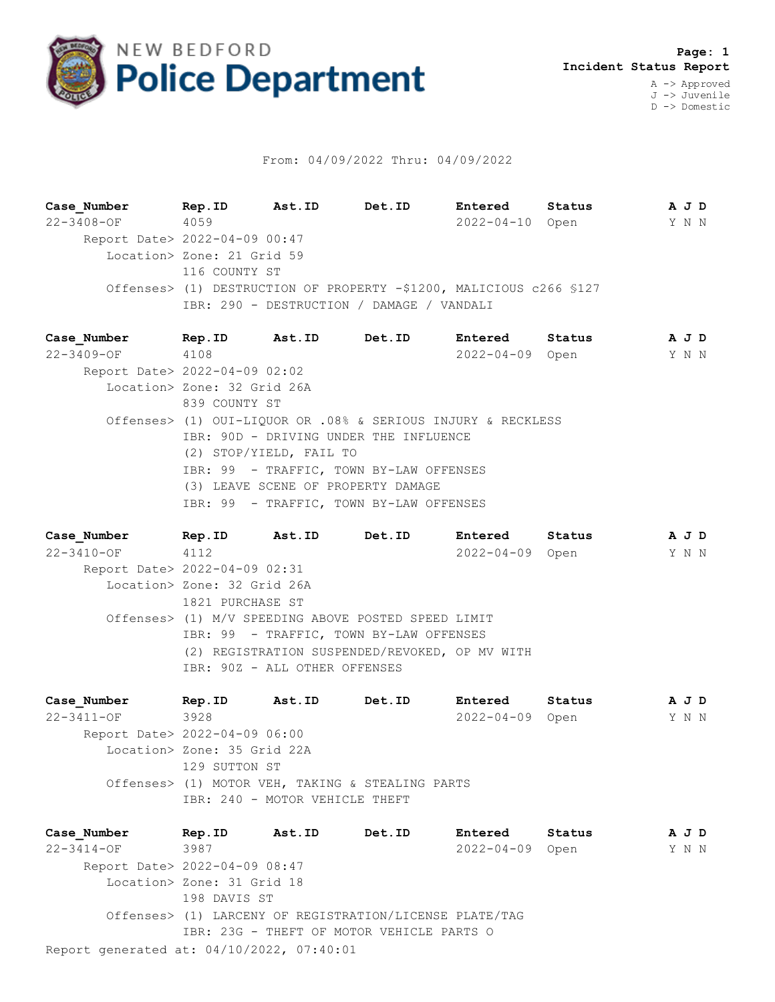

## From: 04/09/2022 Thru: 04/09/2022

**Case\_Number Rep.ID Ast.ID Det.ID Entered Status A J D** 22-3408-OF 4059 2022-04-10 Open Y N N Report Date> 2022-04-09 00:47 Location> Zone: 21 Grid 59 116 COUNTY ST Offenses> (1) DESTRUCTION OF PROPERTY -\$1200, MALICIOUS c266 §127 IBR: 290 - DESTRUCTION / DAMAGE / VANDALI

**Case\_Number Rep.ID Ast.ID Det.ID Entered Status A J D** 22-3409-OF 4108 2022-04-09 Open Y N N Report Date> 2022-04-09 02:02 Location> Zone: 32 Grid 26A 839 COUNTY ST Offenses> (1) OUI-LIQUOR OR .08% & SERIOUS INJURY & RECKLESS IBR: 90D - DRIVING UNDER THE INFLUENCE (2) STOP/YIELD, FAIL TO IBR: 99 - TRAFFIC, TOWN BY-LAW OFFENSES (3) LEAVE SCENE OF PROPERTY DAMAGE IBR: 99 - TRAFFIC, TOWN BY-LAW OFFENSES

**Case\_Number Rep.ID Ast.ID Det.ID Entered Status A J D** 22-3410-OF 4112 2022-04-09 Open Y N N Report Date> 2022-04-09 02:31 Location> Zone: 32 Grid 26A 1821 PURCHASE ST Offenses> (1) M/V SPEEDING ABOVE POSTED SPEED LIMIT IBR: 99 - TRAFFIC, TOWN BY-LAW OFFENSES (2) REGISTRATION SUSPENDED/REVOKED, OP MV WITH IBR: 90Z - ALL OTHER OFFENSES

**Case\_Number Rep.ID Ast.ID Det.ID Entered Status A J D** 22-3411-OF 3928 2022-04-09 Open Y N N Report Date> 2022-04-09 06:00 Location> Zone: 35 Grid 22A 129 SUTTON ST Offenses> (1) MOTOR VEH, TAKING & STEALING PARTS IBR: 240 - MOTOR VEHICLE THEFT

Report generated at: 04/10/2022, 07:40:01 **Case\_Number Rep.ID Ast.ID Det.ID Entered Status A J D** 22-3414-OF 3987 2022-04-09 Open Y N N Report Date> 2022-04-09 08:47 Location> Zone: 31 Grid 18 198 DAVIS ST Offenses> (1) LARCENY OF REGISTRATION/LICENSE PLATE/TAG IBR: 23G - THEFT OF MOTOR VEHICLE PARTS O